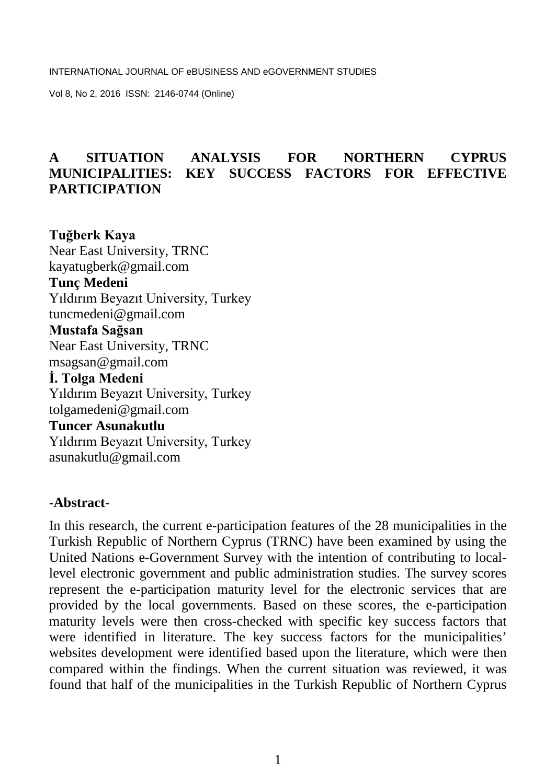## **A SITUATION ANALYSIS FOR NORTHERN CYPRUS MUNICIPALITIES: KEY SUCCESS FACTORS FOR EFFECTIVE PARTICIPATION**

**Tuğberk Kaya** Near East University, TRNC [kayatugberk@gmail.com](mailto:kayatugberk@gmail.com) **Tunç Medeni** Yıldırım Beyazıt University, Turkey [tuncmedeni@gmail.com](mailto:tuncmedeni@gmail.com) **Mustafa Sağsan** Near East University, TRNC msagsan@gmail.com **İ. Tolga Medeni** Yıldırım Beyazıt University, Turkey [tolgamedeni@gmail.com](mailto:tolgamedeni@gmail.com) **Tuncer Asunakutlu** Yıldırım Beyazıt University, Turkey asunakutlu@gmail.com

#### **-Abstract**-

In this research, the current e-participation features of the 28 municipalities in the Turkish Republic of Northern Cyprus (TRNC) have been examined by using the United Nations e-Government Survey with the intention of contributing to locallevel electronic government and public administration studies. The survey scores represent the e-participation maturity level for the electronic services that are provided by the local governments. Based on these scores, the e-participation maturity levels were then cross-checked with specific key success factors that were identified in literature. The key success factors for the municipalities' websites development were identified based upon the literature, which were then compared within the findings. When the current situation was reviewed, it was found that half of the municipalities in the Turkish Republic of Northern Cyprus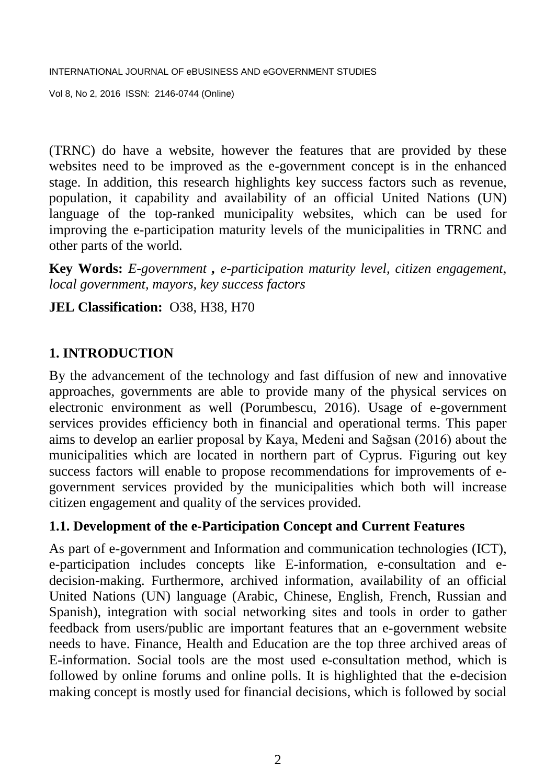Vol 8, No 2, 2016 ISSN: 2146-0744 (Online)

(TRNC) do have a website, however the features that are provided by these websites need to be improved as the e-government concept is in the enhanced stage. In addition, this research highlights key success factors such as revenue, population, it capability and availability of an official United Nations (UN) language of the top-ranked municipality websites, which can be used for improving the e-participation maturity levels of the municipalities in TRNC and other parts of the world.

**Key Words:** *E-government , e-participation maturity level, citizen engagement, local government, mayors, key success factors*

## **JEL Classification:** O38, H38, H70

## **1. INTRODUCTION**

By the advancement of the technology and fast diffusion of new and innovative approaches, governments are able to provide many of the physical services on electronic environment as well (Porumbescu, 2016). Usage of e-government services provides efficiency both in financial and operational terms. This paper aims to develop an earlier proposal by Kaya, Medeni and Sağsan (2016) about the municipalities which are located in northern part of Cyprus. Figuring out key success factors will enable to propose recommendations for improvements of egovernment services provided by the municipalities which both will increase citizen engagement and quality of the services provided.

## **1.1. Development of the e-Participation Concept and Current Features**

As part of e-government and Information and communication technologies (ICT), e-participation includes concepts like E-information, e-consultation and edecision-making. Furthermore, archived information, availability of an official United Nations (UN) language (Arabic, Chinese, English, French, Russian and Spanish), integration with social networking sites and tools in order to gather feedback from users/public are important features that an e-government website needs to have. Finance, Health and Education are the top three archived areas of E-information. Social tools are the most used e-consultation method, which is followed by online forums and online polls. It is highlighted that the e-decision making concept is mostly used for financial decisions, which is followed by social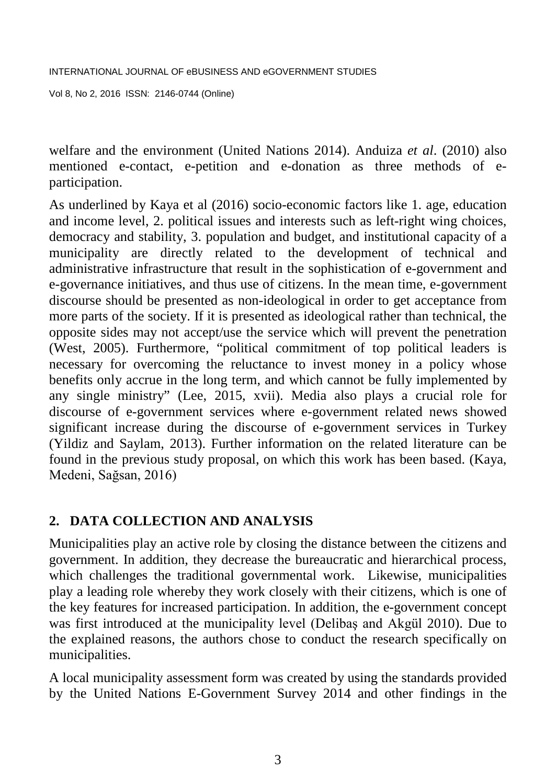welfare and the environment (United Nations 2014). Anduiza *et al*. (2010) also mentioned e-contact, e-petition and e-donation as three methods of eparticipation.

As underlined by Kaya et al (2016) socio-economic factors like 1. age, education and income level, 2. political issues and interests such as left-right wing choices, democracy and stability, 3. population and budget, and institutional capacity of a municipality are directly related to the development of technical and administrative infrastructure that result in the sophistication of e-government and e-governance initiatives, and thus use of citizens. In the mean time, e-government discourse should be presented as non-ideological in order to get acceptance from more parts of the society. If it is presented as ideological rather than technical, the opposite sides may not accept/use the service which will prevent the penetration (West, 2005). Furthermore, "political commitment of top political leaders is necessary for overcoming the reluctance to invest money in a policy whose benefits only accrue in the long term, and which cannot be fully implemented by any single ministry" (Lee, 2015, xvii). Media also plays a crucial role for discourse of e-government services where e-government related news showed significant increase during the discourse of e-government services in Turkey (Yildiz and Saylam, 2013). Further information on the related literature can be found in the previous study proposal, on which this work has been based. (Kaya, Medeni, Sağsan, 2016)

## **2. DATA COLLECTION AND ANALYSIS**

Municipalities play an active role by closing the distance between the citizens and government. In addition, they decrease the bureaucratic and hierarchical process, which challenges the traditional governmental work. Likewise, municipalities play a leading role whereby they work closely with their citizens, which is one of the key features for increased participation. In addition, the e-government concept was first introduced at the municipality level (Delibaş and Akgül 2010). Due to the explained reasons, the authors chose to conduct the research specifically on municipalities.

A local municipality assessment form was created by using the standards provided by the United Nations E-Government Survey 2014 and other findings in the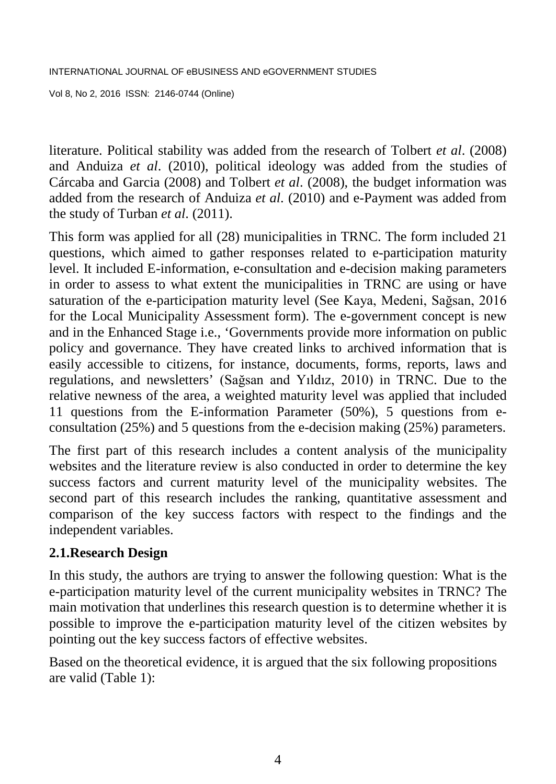literature. Political stability was added from the research of Tolbert *et al*. (2008) and Anduiza *et al*. (2010), political ideology was added from the studies of Cárcaba and Garcia (2008) and Tolbert *et al*. (2008), the budget information was added from the research of Anduiza *et al*. (2010) and e-Payment was added from the study of Turban *et al*. (2011).

This form was applied for all (28) municipalities in TRNC. The form included 21 questions, which aimed to gather responses related to e-participation maturity level. It included E-information, e-consultation and e-decision making parameters in order to assess to what extent the municipalities in TRNC are using or have saturation of the e-participation maturity level (See Kaya, Medeni, Sağsan, 2016 for the Local Municipality Assessment form). The e-government concept is new and in the Enhanced Stage i.e., 'Governments provide more information on public policy and governance. They have created links to archived information that is easily accessible to citizens, for instance, documents, forms, reports, laws and regulations, and newsletters' (Sağsan and Yıldız, 2010) in TRNC. Due to the relative newness of the area, a weighted maturity level was applied that included 11 questions from the E-information Parameter (50%), 5 questions from econsultation (25%) and 5 questions from the e-decision making (25%) parameters.

The first part of this research includes a content analysis of the municipality websites and the literature review is also conducted in order to determine the key success factors and current maturity level of the municipality websites. The second part of this research includes the ranking, quantitative assessment and comparison of the key success factors with respect to the findings and the independent variables.

## **2.1.Research Design**

In this study, the authors are trying to answer the following question: What is the e-participation maturity level of the current municipality websites in TRNC? The main motivation that underlines this research question is to determine whether it is possible to improve the e-participation maturity level of the citizen websites by pointing out the key success factors of effective websites.

Based on the theoretical evidence, it is argued that the six following propositions are valid (Table 1):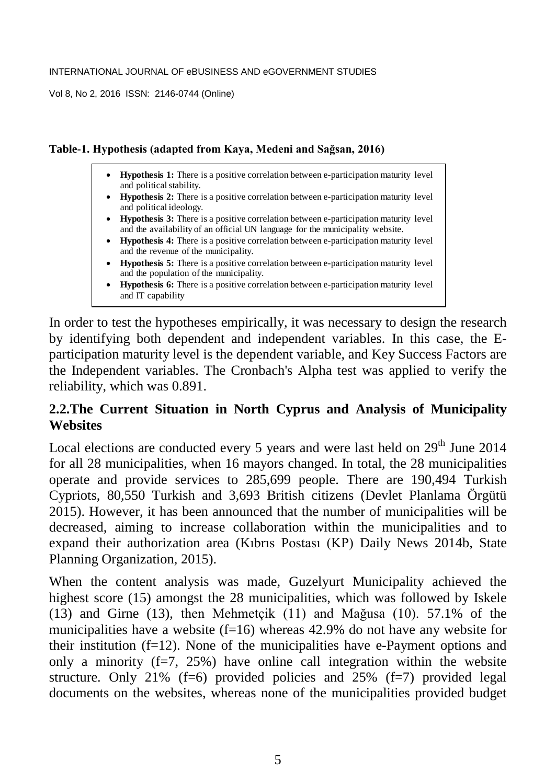#### **Table-1. Hypothesis (adapted from Kaya, Medeni and Sağsan, 2016)**

- **Hypothesis 1:** There is a positive correlation between e-participation maturity level and political stability.
- **Hypothesis 2:** There is a positive correlation between e-participation maturity level and political ideology.
- **Hypothesis 3:** There is a positive correlation between e-participation maturity level and the availability of an official UN language for the municipality website.
- **Hypothesis 4:** There is a positive correlation between e-participation maturity level and the revenue of the municipality.
- **Hypothesis 5:** There is a positive correlation between e-participation maturity level and the population of the municipality.
- **Hypothesis 6:** There is a positive correlation between e-participation maturity level and IT capability

In order to test the hypotheses empirically, it was necessary to design the research by identifying both dependent and independent variables. In this case, the Eparticipation maturity level is the dependent variable, and Key Success Factors are the Independent variables. The Cronbach's Alpha test was applied to verify the reliability, which was 0.891.

## **2.2.The Current Situation in North Cyprus and Analysis of Municipality Websites**

Local elections are conducted every 5 years and were last held on  $29<sup>th</sup>$  June 2014 for all 28 municipalities, when 16 mayors changed. In total, the 28 municipalities operate and provide services to 285,699 people. There are 190,494 Turkish Cypriots, 80,550 Turkish and 3,693 British citizens (Devlet Planlama Örgütü 2015). However, it has been announced that the number of municipalities will be decreased, aiming to increase collaboration within the municipalities and to expand their authorization area (Kıbrıs Postası (KP) Daily News 2014b, State Planning Organization, 2015).

When the content analysis was made, Guzelyurt Municipality achieved the highest score (15) amongst the 28 municipalities, which was followed by Iskele (13) and Girne (13), then Mehmetçik (11) and Mağusa (10). 57.1% of the municipalities have a website  $(f=16)$  whereas 42.9% do not have any website for their institution  $(f=12)$ . None of the municipalities have e-Payment options and only a minority  $(f=7, 25%)$  have online call integration within the website structure. Only 21% (f=6) provided policies and  $25%$  (f=7) provided legal documents on the websites, whereas none of the municipalities provided budget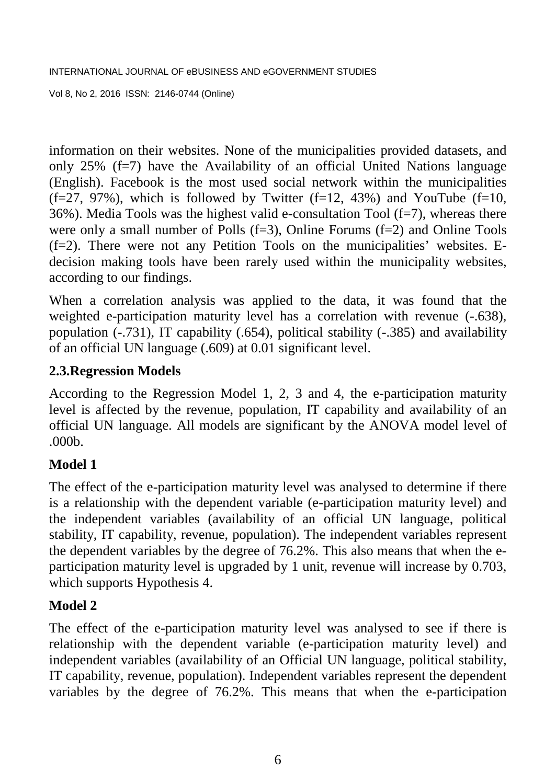information on their websites. None of the municipalities provided datasets, and only  $25\%$  (f=7) have the Availability of an official United Nations language (English). Facebook is the most used social network within the municipalities  $(f=27, 97%)$ , which is followed by Twitter  $(f=12, 43%)$  and YouTube  $(f=10, 43%)$  $36\%$ ). Media Tools was the highest valid e-consultation Tool (f=7), whereas there were only a small number of Polls  $(f=3)$ , Online Forums  $(f=2)$  and Online Tools (f=2). There were not any Petition Tools on the municipalities' websites. Edecision making tools have been rarely used within the municipality websites, according to our findings.

When a correlation analysis was applied to the data, it was found that the weighted e-participation maturity level has a correlation with revenue  $(-.638)$ , population (-.731), IT capability (.654), political stability (-.385) and availability of an official UN language (.609) at 0.01 significant level.

## **2.3.Regression Models**

According to the Regression Model 1, 2, 3 and 4, the e-participation maturity level is affected by the revenue, population, IT capability and availability of an official UN language. All models are significant by the ANOVA model level of .000b.

## **Model 1**

The effect of the e-participation maturity level was analysed to determine if there is a relationship with the dependent variable (e-participation maturity level) and the independent variables (availability of an official UN language, political stability, IT capability, revenue, population). The independent variables represent the dependent variables by the degree of 76.2%. This also means that when the eparticipation maturity level is upgraded by 1 unit, revenue will increase by 0.703, which supports Hypothesis 4.

## **Model 2**

The effect of the e-participation maturity level was analysed to see if there is relationship with the dependent variable (e-participation maturity level) and independent variables (availability of an Official UN language, political stability, IT capability, revenue, population). Independent variables represent the dependent variables by the degree of 76.2%. This means that when the e-participation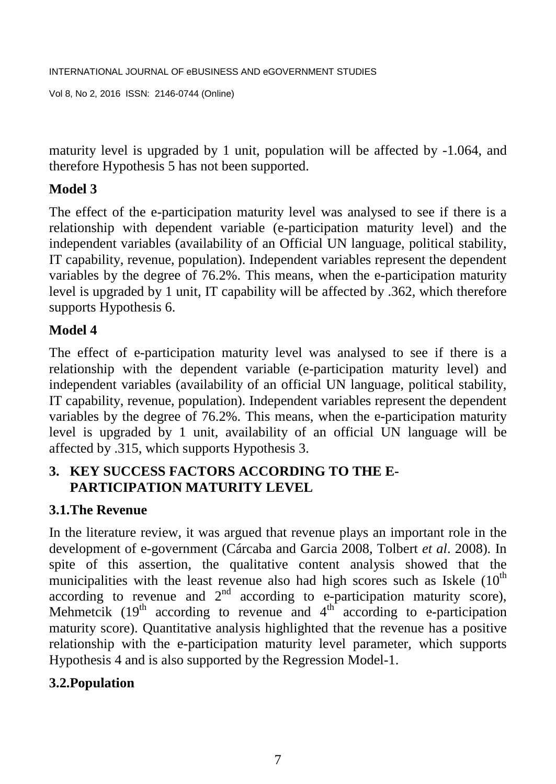maturity level is upgraded by 1 unit, population will be affected by -1.064, and therefore Hypothesis 5 has not been supported.

# **Model 3**

The effect of the e-participation maturity level was analysed to see if there is a relationship with dependent variable (e-participation maturity level) and the independent variables (availability of an Official UN language, political stability, IT capability, revenue, population). Independent variables represent the dependent variables by the degree of 76.2%. This means, when the e-participation maturity level is upgraded by 1 unit, IT capability will be affected by .362, which therefore supports Hypothesis 6.

# **Model 4**

The effect of e-participation maturity level was analysed to see if there is a relationship with the dependent variable (e-participation maturity level) and independent variables (availability of an official UN language, political stability, IT capability, revenue, population). Independent variables represent the dependent variables by the degree of 76.2%. This means, when the e-participation maturity level is upgraded by 1 unit, availability of an official UN language will be affected by .315, which supports Hypothesis 3.

## **3. KEY SUCCESS FACTORS ACCORDING TO THE E-PARTICIPATION MATURITY LEVEL**

# **3.1.The Revenue**

In the literature review, it was argued that revenue plays an important role in the development of e-government (Cárcaba and Garcia 2008, Tolbert *et al*. 2008). In spite of this assertion, the qualitative content analysis showed that the municipalities with the least revenue also had high scores such as Iskele  $(10<sup>th</sup>$ according to revenue and  $2<sup>nd</sup>$  according to e-participation maturity score), Mehmetcik  $(19<sup>th</sup>$  according to revenue and  $4<sup>th</sup>$  according to e-participation maturity score). Quantitative analysis highlighted that the revenue has a positive relationship with the e-participation maturity level parameter, which supports Hypothesis 4 and is also supported by the Regression Model-1.

## **3.2.Population**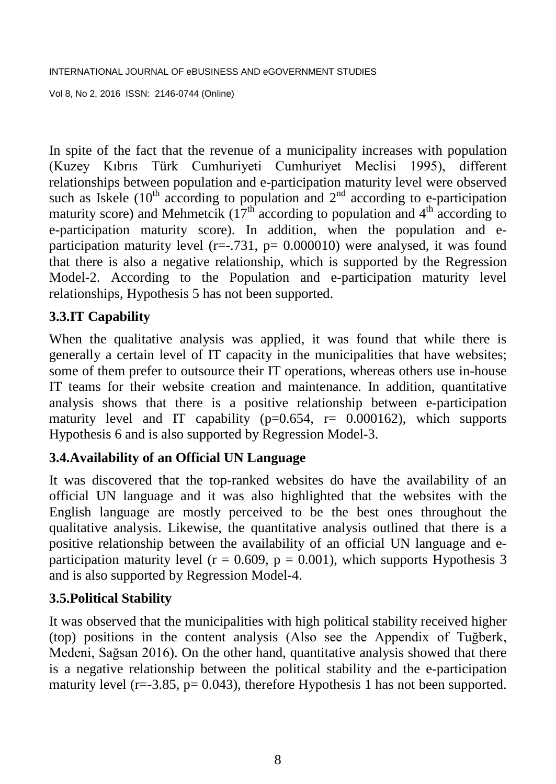In spite of the fact that the revenue of a municipality increases with population (Kuzey Kıbrıs Türk Cumhuriyeti Cumhuriyet Meclisi 1995), different relationships between population and e-participation maturity level were observed such as Iskele ( $10^{th}$  according to population and  $2^{nd}$  according to e-participation maturity score) and Mehmetcik ( $17<sup>th</sup>$  according to population and 4<sup>th</sup> according to e-participation maturity score). In addition, when the population and eparticipation maturity level ( $r=-731$ ,  $p= 0.000010$ ) were analysed, it was found that there is also a negative relationship, which is supported by the Regression Model-2. According to the Population and e-participation maturity level relationships, Hypothesis 5 has not been supported.

## **3.3.IT Capability**

When the qualitative analysis was applied, it was found that while there is generally a certain level of IT capacity in the municipalities that have websites; some of them prefer to outsource their IT operations, whereas others use in-house IT teams for their website creation and maintenance. In addition, quantitative analysis shows that there is a positive relationship between e-participation maturity level and IT capability ( $p=0.654$ ,  $r= 0.000162$ ), which supports Hypothesis 6 and is also supported by Regression Model-3.

## **3.4.Availability of an Official UN Language**

It was discovered that the top-ranked websites do have the availability of an official UN language and it was also highlighted that the websites with the English language are mostly perceived to be the best ones throughout the qualitative analysis. Likewise, the quantitative analysis outlined that there is a positive relationship between the availability of an official UN language and eparticipation maturity level ( $r = 0.609$ ,  $p = 0.001$ ), which supports Hypothesis 3 and is also supported by Regression Model-4.

## **3.5.Political Stability**

It was observed that the municipalities with high political stability received higher (top) positions in the content analysis (Also see the Appendix of Tuğberk, Medeni, Sağsan 2016). On the other hand, quantitative analysis showed that there is a negative relationship between the political stability and the e-participation maturity level (r=-3.85, p=  $0.043$ ), therefore Hypothesis 1 has not been supported.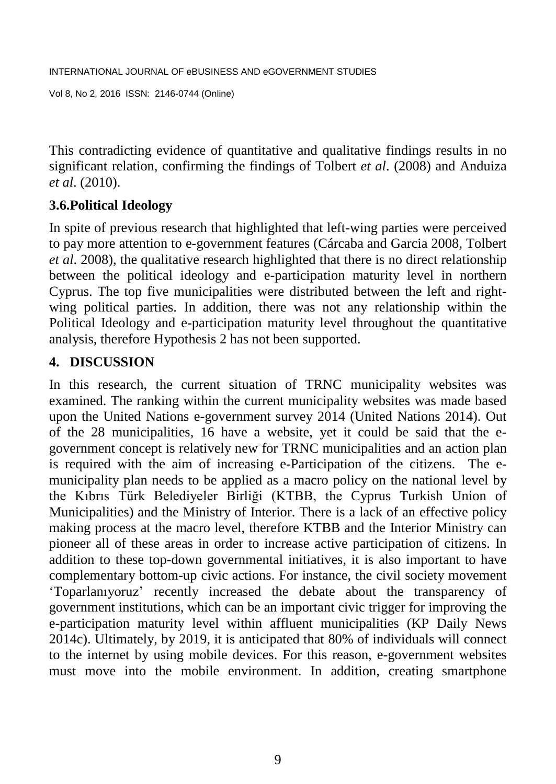```
INTERNATIONAL JOURNAL OF eBUSINESS AND eGOVERNMENT STUDIES 
Vol 8, No 2, 2016 ISSN: 2146-0744 (Online)
```
This contradicting evidence of quantitative and qualitative findings results in no significant relation, confirming the findings of Tolbert *et al*. (2008) and Anduiza *et al*. (2010).

# **3.6.Political Ideology**

In spite of previous research that highlighted that left-wing parties were perceived to pay more attention to e-government features (Cárcaba and Garcia 2008, Tolbert *et al*. 2008), the qualitative research highlighted that there is no direct relationship between the political ideology and e-participation maturity level in northern Cyprus. The top five municipalities were distributed between the left and rightwing political parties. In addition, there was not any relationship within the Political Ideology and e-participation maturity level throughout the quantitative analysis, therefore Hypothesis 2 has not been supported.

## **4. DISCUSSION**

In this research, the current situation of TRNC municipality websites was examined. The ranking within the current municipality websites was made based upon the United Nations e-government survey 2014 (United Nations 2014). Out of the 28 municipalities, 16 have a website, yet it could be said that the egovernment concept is relatively new for TRNC municipalities and an action plan is required with the aim of increasing e-Participation of the citizens. The emunicipality plan needs to be applied as a macro policy on the national level by the Kıbrıs Türk Belediyeler Birliği (KTBB, the Cyprus Turkish Union of Municipalities) and the Ministry of Interior. There is a lack of an effective policy making process at the macro level, therefore KTBB and the Interior Ministry can pioneer all of these areas in order to increase active participation of citizens. In addition to these top-down governmental initiatives, it is also important to have complementary bottom-up civic actions. For instance, the civil society movement 'Toparlanıyoruz' recently increased the debate about the transparency of government institutions, which can be an important civic trigger for improving the e-participation maturity level within affluent municipalities (KP Daily News 2014c). Ultimately, by 2019, it is anticipated that 80% of individuals will connect to the internet by using mobile devices. For this reason, e-government websites must move into the mobile environment. In addition, creating smartphone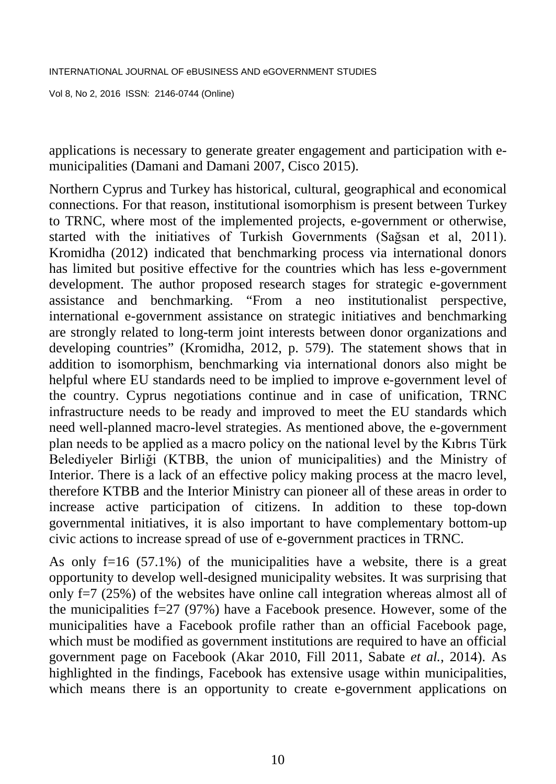applications is necessary to generate greater engagement and participation with emunicipalities (Damani and Damani 2007, Cisco 2015).

Northern Cyprus and Turkey has historical, cultural, geographical and economical connections. For that reason, institutional isomorphism is present between Turkey to TRNC, where most of the implemented projects, e-government or otherwise, started with the initiatives of Turkish Governments (Sağsan et al, 2011). Kromidha (2012) indicated that benchmarking process via international donors has limited but positive effective for the countries which has less e-government development. The author proposed research stages for strategic e-government assistance and benchmarking. "From a neo institutionalist perspective, international e-government assistance on strategic initiatives and benchmarking are strongly related to long-term joint interests between donor organizations and developing countries" (Kromidha, 2012, p. 579). The statement shows that in addition to isomorphism, benchmarking via international donors also might be helpful where EU standards need to be implied to improve e-government level of the country. Cyprus negotiations continue and in case of unification, TRNC infrastructure needs to be ready and improved to meet the EU standards which need well-planned macro-level strategies. As mentioned above, the e-government plan needs to be applied as a macro policy on the national level by the Kıbrıs Türk Belediyeler Birliği (KTBB, the union of municipalities) and the Ministry of Interior. There is a lack of an effective policy making process at the macro level, therefore KTBB and the Interior Ministry can pioneer all of these areas in order to increase active participation of citizens. In addition to these top-down governmental initiatives, it is also important to have complementary bottom-up civic actions to increase spread of use of e-government practices in TRNC.

As only  $f=16$  (57.1%) of the municipalities have a website, there is a great opportunity to develop well-designed municipality websites. It was surprising that only f=7 (25%) of the websites have online call integration whereas almost all of the municipalities f=27 (97%) have a Facebook presence. However, some of the municipalities have a Facebook profile rather than an official Facebook page, which must be modified as government institutions are required to have an official government page on Facebook (Akar 2010, Fill 2011, Sabate *et al.*, 2014). As highlighted in the findings, Facebook has extensive usage within municipalities, which means there is an opportunity to create e-government applications on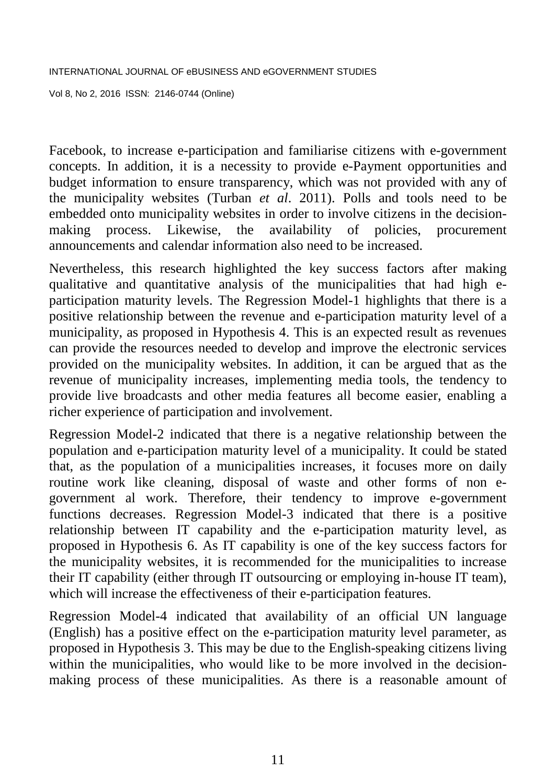Vol 8, No 2, 2016 ISSN: 2146-0744 (Online)

Facebook, to increase e-participation and familiarise citizens with e-government concepts. In addition, it is a necessity to provide e-Payment opportunities and budget information to ensure transparency, which was not provided with any of the municipality websites (Turban *et al*. 2011). Polls and tools need to be embedded onto municipality websites in order to involve citizens in the decisionmaking process. Likewise, the availability of policies, procurement announcements and calendar information also need to be increased.

Nevertheless, this research highlighted the key success factors after making qualitative and quantitative analysis of the municipalities that had high eparticipation maturity levels. The Regression Model-1 highlights that there is a positive relationship between the revenue and e-participation maturity level of a municipality, as proposed in Hypothesis 4. This is an expected result as revenues can provide the resources needed to develop and improve the electronic services provided on the municipality websites. In addition, it can be argued that as the revenue of municipality increases, implementing media tools, the tendency to provide live broadcasts and other media features all become easier, enabling a richer experience of participation and involvement.

Regression Model-2 indicated that there is a negative relationship between the population and e-participation maturity level of a municipality. It could be stated that, as the population of a municipalities increases, it focuses more on daily routine work like cleaning, disposal of waste and other forms of non egovernment al work. Therefore, their tendency to improve e-government functions decreases. Regression Model-3 indicated that there is a positive relationship between IT capability and the e-participation maturity level, as proposed in Hypothesis 6. As IT capability is one of the key success factors for the municipality websites, it is recommended for the municipalities to increase their IT capability (either through IT outsourcing or employing in-house IT team), which will increase the effectiveness of their e-participation features.

Regression Model-4 indicated that availability of an official UN language (English) has a positive effect on the e-participation maturity level parameter, as proposed in Hypothesis 3. This may be due to the English-speaking citizens living within the municipalities, who would like to be more involved in the decisionmaking process of these municipalities. As there is a reasonable amount of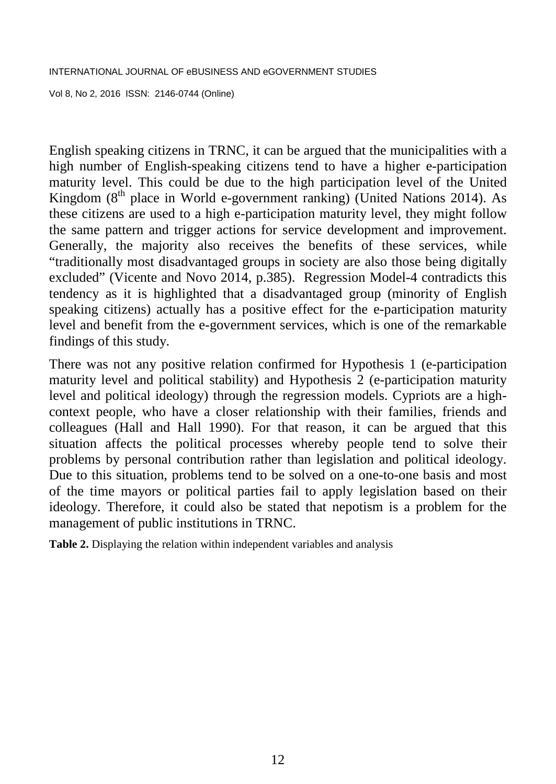Vol 8, No 2, 2016 ISSN: 2146-0744 (Online)

English speaking citizens in TRNC, it can be argued that the municipalities with a high number of English-speaking citizens tend to have a higher e-participation maturity level. This could be due to the high participation level of the United Kingdom  $(8<sup>th</sup>$  place in World e-government ranking) (United Nations 2014). As these citizens are used to a high e-participation maturity level, they might follow the same pattern and trigger actions for service development and improvement. Generally, the majority also receives the benefits of these services, while "traditionally most disadvantaged groups in society are also those being digitally excluded" (Vicente and Novo 2014, p.385). Regression Model-4 contradicts this tendency as it is highlighted that a disadvantaged group (minority of English speaking citizens) actually has a positive effect for the e-participation maturity level and benefit from the e-government services, which is one of the remarkable findings of this study.

There was not any positive relation confirmed for Hypothesis 1 (e-participation maturity level and political stability) and Hypothesis 2 (e-participation maturity level and political ideology) through the regression models. Cypriots are a highcontext people, who have a closer relationship with their families, friends and colleagues (Hall and Hall 1990). For that reason, it can be argued that this situation affects the political processes whereby people tend to solve their problems by personal contribution rather than legislation and political ideology. Due to this situation, problems tend to be solved on a one-to-one basis and most of the time mayors or political parties fail to apply legislation based on their ideology. Therefore, it could also be stated that nepotism is a problem for the management of public institutions in TRNC.

**Table 2.** Displaying the relation within independent variables and analysis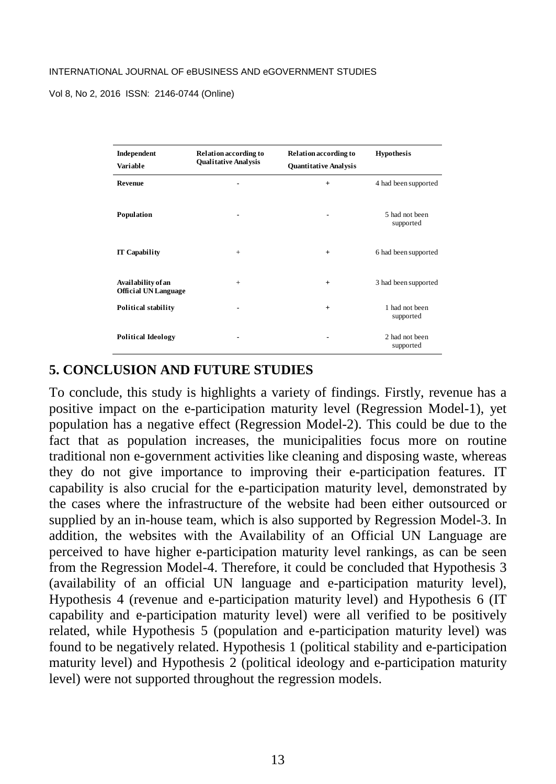Vol 8, No 2, 2016 ISSN: 2146-0744 (Online)

| Independent<br>Variable                           | Relation according to<br><b>Qualitative Analysis</b> | <b>Relation according to</b><br><b>Quantitative Analysis</b> | <b>Hypothesis</b>           |
|---------------------------------------------------|------------------------------------------------------|--------------------------------------------------------------|-----------------------------|
| Revenue                                           | ۰                                                    | $+$                                                          | 4 had been supported        |
| Population                                        |                                                      |                                                              | 5 had not been<br>supported |
| <b>IT Capability</b>                              | $+$                                                  | $+$                                                          | 6 had been supported        |
| Availability of an<br><b>Official UN Language</b> | $+$                                                  | $+$                                                          | 3 had been supported        |
| <b>Political stability</b>                        | ۰                                                    | $+$                                                          | 1 had not been<br>supported |
| <b>Political Ideology</b>                         |                                                      |                                                              | 2 had not been<br>supported |

#### **5. CONCLUSION AND FUTURE STUDIES**

To conclude, this study is highlights a variety of findings. Firstly, revenue has a positive impact on the e-participation maturity level (Regression Model-1), yet population has a negative effect (Regression Model-2). This could be due to the fact that as population increases, the municipalities focus more on routine traditional non e-government activities like cleaning and disposing waste, whereas they do not give importance to improving their e-participation features. IT capability is also crucial for the e-participation maturity level, demonstrated by the cases where the infrastructure of the website had been either outsourced or supplied by an in-house team, which is also supported by Regression Model-3. In addition, the websites with the Availability of an Official UN Language are perceived to have higher e-participation maturity level rankings, as can be seen from the Regression Model-4. Therefore, it could be concluded that Hypothesis 3 (availability of an official UN language and e-participation maturity level), Hypothesis 4 (revenue and e-participation maturity level) and Hypothesis 6 (IT capability and e-participation maturity level) were all verified to be positively related, while Hypothesis 5 (population and e-participation maturity level) was found to be negatively related. Hypothesis 1 (political stability and e-participation maturity level) and Hypothesis 2 (political ideology and e-participation maturity level) were not supported throughout the regression models.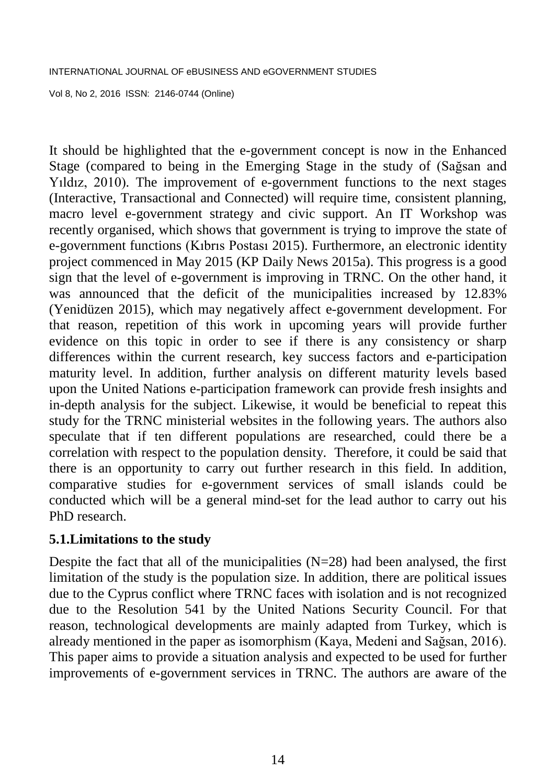Vol 8, No 2, 2016 ISSN: 2146-0744 (Online)

It should be highlighted that the e-government concept is now in the Enhanced Stage (compared to being in the Emerging Stage in the study of (Sağsan and Yıldız, 2010). The improvement of e-government functions to the next stages (Interactive, Transactional and Connected) will require time, consistent planning, macro level e-government strategy and civic support. An IT Workshop was recently organised, which shows that government is trying to improve the state of e-government functions (Kıbrıs Postası 2015). Furthermore, an electronic identity project commenced in May 2015 (KP Daily News 2015a). This progress is a good sign that the level of e-government is improving in TRNC. On the other hand, it was announced that the deficit of the municipalities increased by 12.83% (Yenidüzen 2015), which may negatively affect e-government development. For that reason, repetition of this work in upcoming years will provide further evidence on this topic in order to see if there is any consistency or sharp differences within the current research, key success factors and e-participation maturity level. In addition, further analysis on different maturity levels based upon the United Nations e-participation framework can provide fresh insights and in-depth analysis for the subject. Likewise, it would be beneficial to repeat this study for the TRNC ministerial websites in the following years. The authors also speculate that if ten different populations are researched, could there be a correlation with respect to the population density. Therefore, it could be said that there is an opportunity to carry out further research in this field. In addition, comparative studies for e-government services of small islands could be conducted which will be a general mind-set for the lead author to carry out his PhD research.

### **5.1.Limitations to the study**

Despite the fact that all of the municipalities  $(N=28)$  had been analysed, the first limitation of the study is the population size. In addition, there are political issues due to the Cyprus conflict where TRNC faces with isolation and is not recognized due to the Resolution 541 by the United Nations Security Council. For that reason, technological developments are mainly adapted from Turkey, which is already mentioned in the paper as isomorphism (Kaya, Medeni and Sağsan, 2016). This paper aims to provide a situation analysis and expected to be used for further improvements of e-government services in TRNC. The authors are aware of the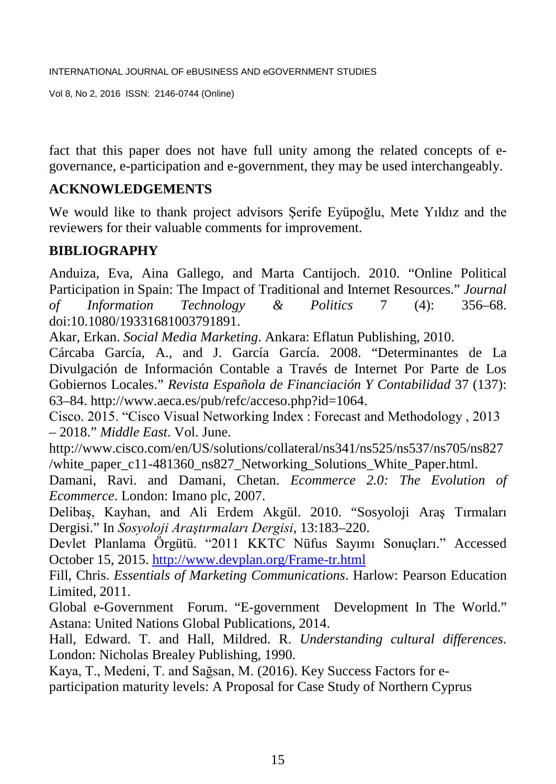Vol 8, No 2, 2016 ISSN: 2146-0744 (Online)

fact that this paper does not have full unity among the related concepts of egovernance, e-participation and e-government, they may be used interchangeably.

## **ACKNOWLEDGEMENTS**

We would like to thank project advisors Şerife Eyüpoğlu, Mete Yıldız and the reviewers for their valuable comments for improvement.

## **BIBLIOGRAPHY**

Anduiza, Eva, Aina Gallego, and Marta Cantijoch. 2010. "Online Political Participation in Spain: The Impact of Traditional and Internet Resources." *Journal of Information Technology & Politics* 7 (4): 356–68. doi:10.1080/19331681003791891.

Akar, Erkan. *Social Media Marketing*. Ankara: Eflatun Publishing, 2010.

Cárcaba García, A., and J. García García. 2008. "Determinantes de La Divulgación de Información Contable a Través de Internet Por Parte de Los Gobiernos Locales." *Revista Española de Financiación Y Contabilidad* 37 (137): 63–84. http://www.aeca.es/pub/refc/acceso.php?id=1064.

Cisco. 2015. "Cisco Visual Networking Index : Forecast and Methodology , 2013 – 2018." *Middle East*. Vol. June.

http://www.cisco.com/en/US/solutions/collateral/ns341/ns525/ns537/ns705/ns827 /white\_paper\_c11-481360\_ns827\_Networking\_Solutions\_White\_Paper.html.

Damani, Ravi. and Damani, Chetan. *Ecommerce 2.0: The Evolution of Ecommerce*. London: Imano plc, 2007.

Delibaş, Kayhan, and Ali Erdem Akgül. 2010. "Sosyoloji Araş Tırmaları Dergisi." In *Sosyoloji Araştırmaları Dergisi*, 13:183–220.

Devlet Planlama Örgütü. "2011 KKTC Nüfus Sayımı Sonuçları." Accessed October 15, 2015.<http://www.devplan.org/Frame-tr.html>

Fill, Chris. *Essentials of Marketing Communications*. Harlow: Pearson Education Limited, 2011.

Global e-Government Forum. "E-government Development In The World." Astana: United Nations Global Publications, 2014.

Hall, Edward. T. and Hall, Mildred. R. *Understanding cultural differences*. London: Nicholas Brealey Publishing, 1990.

Kaya, T., Medeni, T. and Sağsan, M. (2016). Key Success Factors for e-

participation maturity levels: A Proposal for Case Study of Northern Cyprus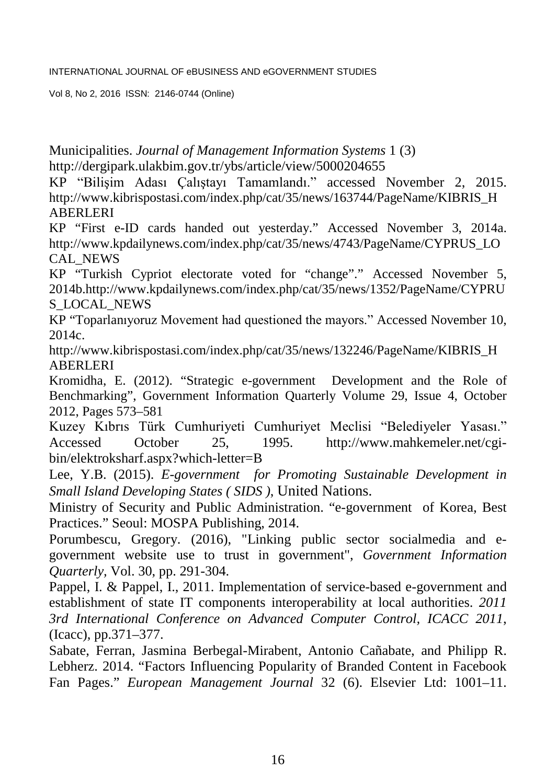Vol 8, No 2, 2016 ISSN: 2146-0744 (Online)

Municipalities. *Journal of Management Information Systems* 1 (3) http://dergipark.ulakbim.gov.tr/ybs/article/view/5000204655

KP "Bilişim Adası Çalıştayı Tamamlandı." accessed November 2, 2015. [http://www.kibrispostasi.com/index.php/cat/35/news/163744/PageName/KIBRIS\\_H](http://www.kibrispostasi.com/index.php/cat/35/news/163744/PageName/KIBRIS_HABERLERI) [ABERLERI](http://www.kibrispostasi.com/index.php/cat/35/news/163744/PageName/KIBRIS_HABERLERI)

KP "First e-ID cards handed out yesterday." Accessed November 3, 2014a. [http://www.kpdailynews.com/index.php/cat/35/news/4743/PageName/CYPRUS\\_LO](http://www.kpdailynews.com/index.php/cat/35/news/4743/PageName/CYPRUS_LOCAL_NEWS) [CAL\\_NEWS](http://www.kpdailynews.com/index.php/cat/35/news/4743/PageName/CYPRUS_LOCAL_NEWS)

KP "Turkish Cypriot electorate voted for "change"." Accessed November 5, 2014b.http://www.kpdailynews.com/index.php/cat/35/news/1352/PageName/CYPRU S\_LOCAL\_NEWS

KP "Toparlanıyoruz Movement had questioned the mayors." Accessed November 10, 2014c.

http://www.kibrispostasi.com/index.php/cat/35/news/132246/PageName/KIBRIS\_H ABERLERI

Kromidha, E. (2012). "Strategic e-government Development and the Role of Benchmarking", Government Information Quarterly Volume 29, Issue 4, October 2012, Pages 573–581

Kuzey Kıbrıs Türk Cumhuriyeti Cumhuriyet Meclisi "Belediyeler Yasası." Accessed October 25, 1995. http://www.mahkemeler.net/cgibin/elektroksharf.aspx?which-letter=B

Lee, Y.B. (2015). *E-government for Promoting Sustainable Development in Small Island Developing States ( SIDS )*, United Nations.

Ministry of Security and Public Administration. "e-government of Korea, Best Practices." Seoul: MOSPA Publishing, 2014.

Porumbescu, Gregory. (2016), "Linking public sector socialmedia and egovernment website use to trust in government", *Government Information Quarterly,* Vol. 30, pp. 291-304.

Pappel, I. & Pappel, I., 2011. Implementation of service-based e-government and establishment of state IT components interoperability at local authorities. *2011 3rd International Conference on Advanced Computer Control, ICACC 2011*, (Icacc), pp.371–377.

Sabate, Ferran, Jasmina Berbegal-Mirabent, Antonio Cañabate, and Philipp R. Lebherz. 2014. "Factors Influencing Popularity of Branded Content in Facebook Fan Pages." *European Management Journal* 32 (6). Elsevier Ltd: 1001–11.